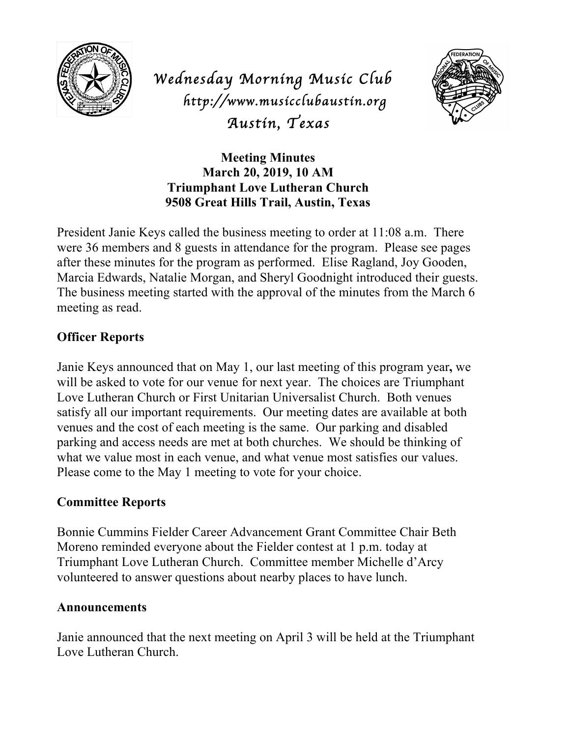

*Wednesday Morning Music Club http://www.musicclubaustin.org Austin, Texas* 



**Meeting Minutes March 20, 2019, 10 AM Triumphant Love Lutheran Church 9508 Great Hills Trail, Austin, Texas**

President Janie Keys called the business meeting to order at 11:08 a.m. There were 36 members and 8 guests in attendance for the program. Please see pages after these minutes for the program as performed. Elise Ragland, Joy Gooden, Marcia Edwards, Natalie Morgan, and Sheryl Goodnight introduced their guests. The business meeting started with the approval of the minutes from the March 6 meeting as read.

## **Officer Reports**

Janie Keys announced that on May 1, our last meeting of this program year**,** we will be asked to vote for our venue for next year. The choices are Triumphant Love Lutheran Church or First Unitarian Universalist Church. Both venues satisfy all our important requirements. Our meeting dates are available at both venues and the cost of each meeting is the same. Our parking and disabled parking and access needs are met at both churches. We should be thinking of what we value most in each venue, and what venue most satisfies our values. Please come to the May 1 meeting to vote for your choice.

## **Committee Reports**

Bonnie Cummins Fielder Career Advancement Grant Committee Chair Beth Moreno reminded everyone about the Fielder contest at 1 p.m. today at Triumphant Love Lutheran Church. Committee member Michelle d'Arcy volunteered to answer questions about nearby places to have lunch.

## **Announcements**

Janie announced that the next meeting on April 3 will be held at the Triumphant Love Lutheran Church.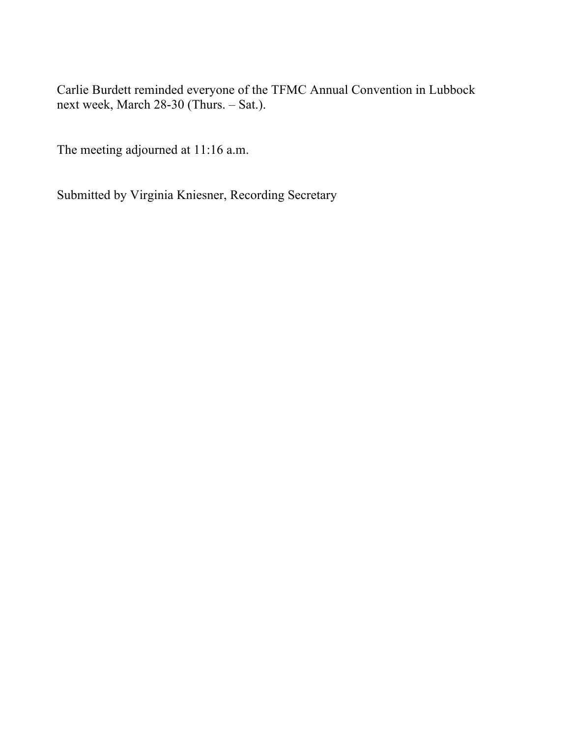Carlie Burdett reminded everyone of the TFMC Annual Convention in Lubbock next week, March 28-30 (Thurs. – Sat.).

The meeting adjourned at 11:16 a.m.

Submitted by Virginia Kniesner, Recording Secretary